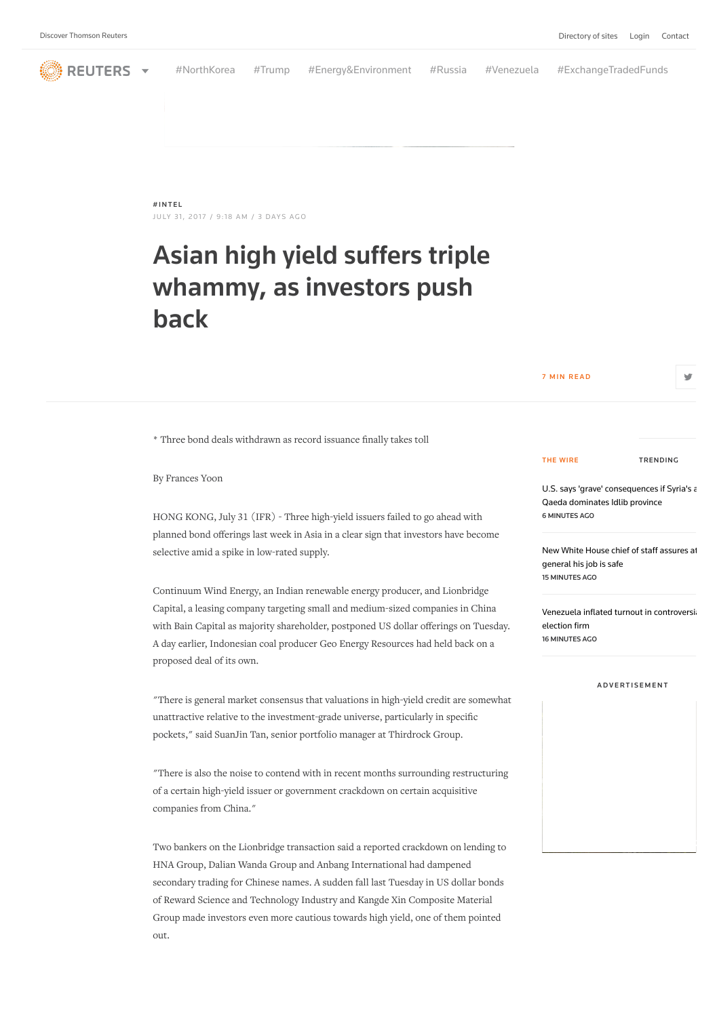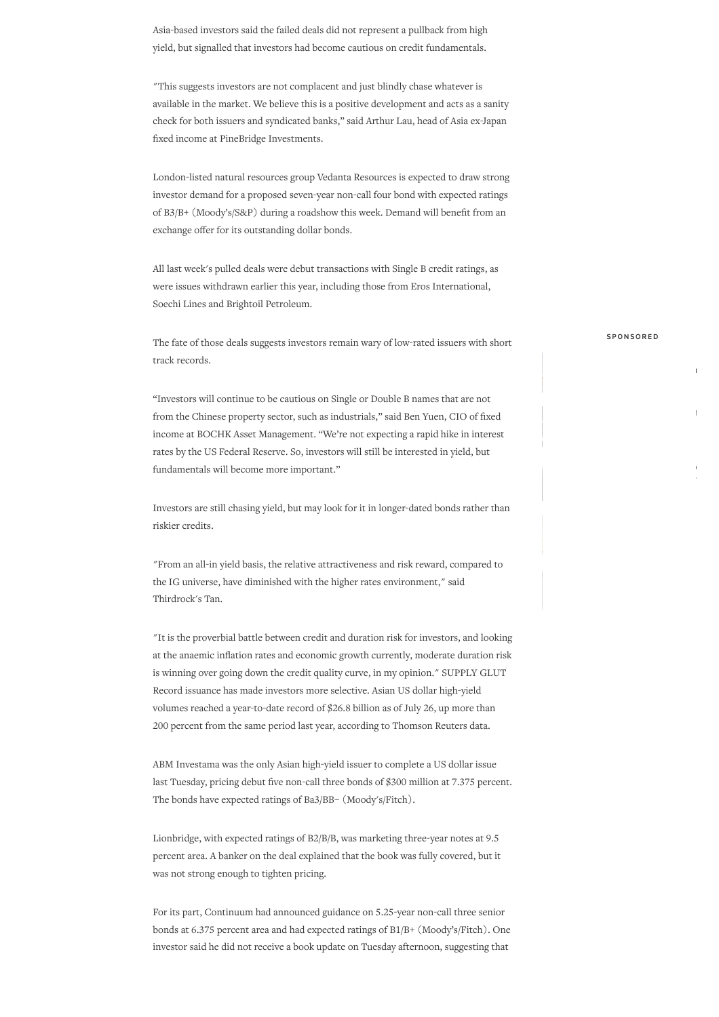Asia-based investors said the failed deals did not represent a pullback from high yield, but signalled that investors had become cautious on credit fundamentals.

"This suggests investors are not complacent and just blindly chase whatever is available in the market. We believe this is a positive development and acts as a sanity check for both issuers and syndicated banks," said Arthur Lau, head of Asia ex-Japan fixed income at PineBridge Investments.

London-listed natural resources group Vedanta Resources is expected to draw strong investor demand for a proposed seven-year non-call four bond with expected ratings of B3/B+ (Moody's/S&P) during a roadshow this week. Demand will benefit from an exchange offer for its outstanding dollar bonds.

All last week's pulled deals were debut transactions with Single B credit ratings, as were issues withdrawn earlier this year, including those from Eros International, Soechi Lines and Brightoil Petroleum.

The fate of those deals suggests investors remain wary of low-rated issuers with short track records.

"Investors will continue to be cautious on Single or Double B names that are not from the Chinese property sector, such as industrials," said Ben Yuen, CIO of fixed income at BOCHK Asset Management. "We're not expecting a rapid hike in interest rates by the US Federal Reserve. So, investors will still be interested in yield, but fundamentals will become more important."

Investors are still chasing yield, but may look for it in longer-dated bonds rather than riskier credits.

"From an all-in yield basis, the relative attractiveness and risk reward, compared to the IG universe, have diminished with the higher rates environment," said Thirdrock's Tan.

"It is the proverbial battle between credit and duration risk for investors, and looking at the anaemic inflation rates and economic growth currently, moderate duration risk is winning over going down the credit quality curve, in my opinion." SUPPLY GLUT Record issuance has made investors more selective. Asian US dollar high-yield volumes reached a year-to-date record of \$26.8 billion as of July 26, up more than 200 percent from the same period last year, according to Thomson Reuters data.

ABM Investama was the only Asian high-yield issuer to complete a US dollar issue last Tuesday, pricing debut five non-call three bonds of \$300 million at 7.375 percent. The bonds have expected ratings of Ba3/BB– (Moody's/Fitch).

Lionbridge, with expected ratings of B2/B/B, was marketing three-year notes at 9.5 percent area. A banker on the deal explained that the book was fully covered, but it was not strong enough to tighten pricing.

For its part, Continuum had announced guidance on 5.25-year non-call three senior bonds at 6.375 percent area and had expected ratings of B1/B+ (Moody's/Fitch). One investor said he did not receive a book update on Tuesday afternoon, suggesting that

## SPONSORED